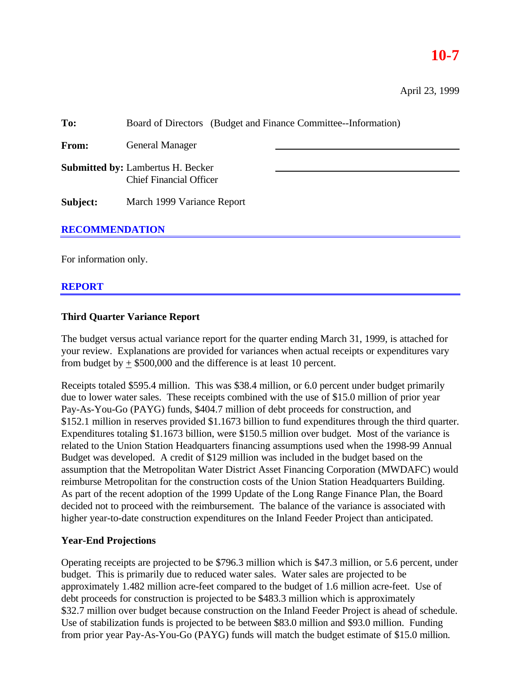# **10-7**

| To:                   | Board of Directors (Budget and Finance Committee--Information)             |  |  |  |  |
|-----------------------|----------------------------------------------------------------------------|--|--|--|--|
| From:                 | <b>General Manager</b>                                                     |  |  |  |  |
|                       | <b>Submitted by: Lambertus H. Becker</b><br><b>Chief Financial Officer</b> |  |  |  |  |
| Subject:              | March 1999 Variance Report                                                 |  |  |  |  |
| <b>RECOMMENDATION</b> |                                                                            |  |  |  |  |

For information only.

# **REPORT**

#### **Third Quarter Variance Report**

The budget versus actual variance report for the quarter ending March 31, 1999, is attached for your review. Explanations are provided for variances when actual receipts or expenditures vary from budget by  $+$  \$500,000 and the difference is at least 10 percent.

Receipts totaled \$595.4 million. This was \$38.4 million, or 6.0 percent under budget primarily due to lower water sales. These receipts combined with the use of \$15.0 million of prior year Pay-As-You-Go (PAYG) funds, \$404.7 million of debt proceeds for construction, and \$152.1 million in reserves provided \$1.1673 billion to fund expenditures through the third quarter. Expenditures totaling \$1.1673 billion, were \$150.5 million over budget. Most of the variance is related to the Union Station Headquarters financing assumptions used when the 1998-99 Annual Budget was developed. A credit of \$129 million was included in the budget based on the assumption that the Metropolitan Water District Asset Financing Corporation (MWDAFC) would reimburse Metropolitan for the construction costs of the Union Station Headquarters Building. As part of the recent adoption of the 1999 Update of the Long Range Finance Plan, the Board decided not to proceed with the reimbursement. The balance of the variance is associated with higher year-to-date construction expenditures on the Inland Feeder Project than anticipated.

#### **Year-End Projections**

Operating receipts are projected to be \$796.3 million which is \$47.3 million, or 5.6 percent, under budget. This is primarily due to reduced water sales. Water sales are projected to be approximately 1.482 million acre-feet compared to the budget of 1.6 million acre-feet. Use of debt proceeds for construction is projected to be \$483.3 million which is approximately \$32.7 million over budget because construction on the Inland Feeder Project is ahead of schedule. Use of stabilization funds is projected to be between \$83.0 million and \$93.0 million. Funding from prior year Pay-As-You-Go (PAYG) funds will match the budget estimate of \$15.0 million.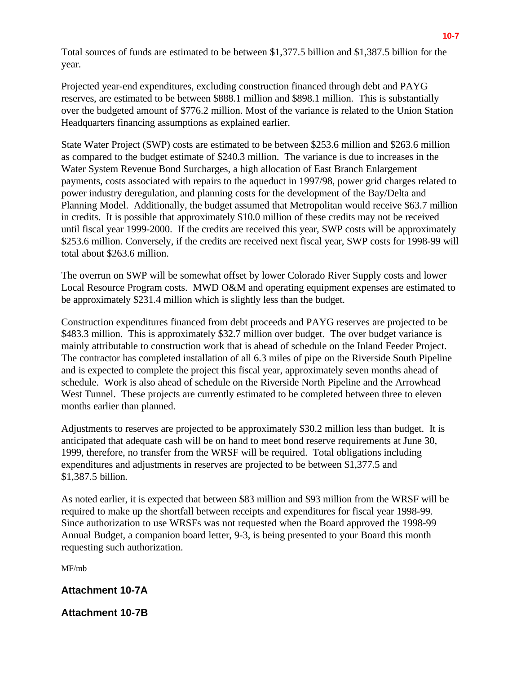Total sources of funds are estimated to be between \$1,377.5 billion and \$1,387.5 billion for the year.

Projected year-end expenditures, excluding construction financed through debt and PAYG reserves, are estimated to be between \$888.1 million and \$898.1 million. This is substantially over the budgeted amount of \$776.2 million. Most of the variance is related to the Union Station Headquarters financing assumptions as explained earlier.

State Water Project (SWP) costs are estimated to be between \$253.6 million and \$263.6 million as compared to the budget estimate of \$240.3 million. The variance is due to increases in the Water System Revenue Bond Surcharges, a high allocation of East Branch Enlargement payments, costs associated with repairs to the aqueduct in 1997/98, power grid charges related to power industry deregulation, and planning costs for the development of the Bay/Delta and Planning Model. Additionally, the budget assumed that Metropolitan would receive \$63.7 million in credits. It is possible that approximately \$10.0 million of these credits may not be received until fiscal year 1999-2000. If the credits are received this year, SWP costs will be approximately \$253.6 million. Conversely, if the credits are received next fiscal year, SWP costs for 1998-99 will total about \$263.6 million.

The overrun on SWP will be somewhat offset by lower Colorado River Supply costs and lower Local Resource Program costs. MWD O&M and operating equipment expenses are estimated to be approximately \$231.4 million which is slightly less than the budget.

Construction expenditures financed from debt proceeds and PAYG reserves are projected to be \$483.3 million. This is approximately \$32.7 million over budget. The over budget variance is mainly attributable to construction work that is ahead of schedule on the Inland Feeder Project. The contractor has completed installation of all 6.3 miles of pipe on the Riverside South Pipeline and is expected to complete the project this fiscal year, approximately seven months ahead of schedule. Work is also ahead of schedule on the Riverside North Pipeline and the Arrowhead West Tunnel. These projects are currently estimated to be completed between three to eleven months earlier than planned.

Adjustments to reserves are projected to be approximately \$30.2 million less than budget. It is anticipated that adequate cash will be on hand to meet bond reserve requirements at June 30, 1999, therefore, no transfer from the WRSF will be required. Total obligations including expenditures and adjustments in reserves are projected to be between \$1,377.5 and \$1,387.5 billion.

As noted earlier, it is expected that between \$83 million and \$93 million from the WRSF will be required to make up the shortfall between receipts and expenditures for fiscal year 1998-99. Since authorization to use WRSFs was not requested when the Board approved the 1998-99 Annual Budget, a companion board letter, 9-3, is being presented to your Board this month requesting such authorization.

MF/mb

# **Attachment 10-7A**

**Attachment 10-7B**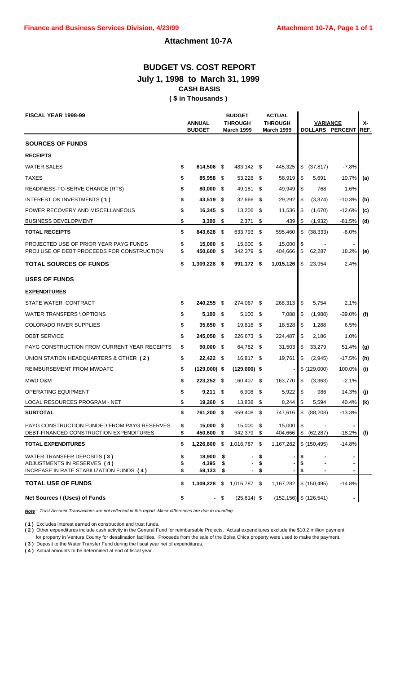# **Attachment 10-7A**

# **BUDGET VS. COST REPORT July 1, 1998 to March 31, 1999 CASH BASIS ( \$ in Thousands )**

| <b>FISCAL YEAR 1998-99</b>                                                                             |                | <b>ANNUAL</b><br><b>BUDGET</b> |                  | <b>BUDGET</b><br><b>THROUGH</b><br><b>March 1999</b> |            | <b>ACTUAL</b><br><b>THROUGH</b><br><b>March 1999</b> |                | <b>VARIANCE</b> | DOLLARS PERCENT | х-<br>REF. |
|--------------------------------------------------------------------------------------------------------|----------------|--------------------------------|------------------|------------------------------------------------------|------------|------------------------------------------------------|----------------|-----------------|-----------------|------------|
| <b>SOURCES OF FUNDS</b>                                                                                |                |                                |                  |                                                      |            |                                                      |                |                 |                 |            |
| <b>RECEIPTS</b>                                                                                        |                |                                |                  |                                                      |            |                                                      |                |                 |                 |            |
| <b>WATER SALES</b>                                                                                     | \$             | 614,506 \$                     |                  | 483,142 \$                                           |            | 445,325                                              | \$             | (37, 817)       | $-7.8%$         |            |
| <b>TAXES</b>                                                                                           | \$             | 85,958 \$                      |                  | 53,228 \$                                            |            | 58.919                                               | \$             | 5,691           | 10.7%           | (a)        |
| READINESS-TO-SERVE CHARGE (RTS)                                                                        | \$             | 80,000 \$                      |                  | 49,181 \$                                            |            | 49,949                                               | \$             | 768             | 1.6%            |            |
| INTEREST ON INVESTMENTS (1)                                                                            | \$             | 43,519 \$                      |                  | 32,666 \$                                            |            | 29,292                                               | \$             | (3,374)         | $-10.3%$        | (b)        |
| POWER RECOVERY AND MISCELLANEOUS                                                                       | \$             | $16,345$ \$                    |                  | 13,206 \$                                            |            | 11,536                                               | \$             | (1,670)         | $-12.6%$        | (c)        |
| <b>BUSINESS DEVELOPMENT</b>                                                                            | \$             | 3,300                          | - \$             | 2,371                                                | \$         | 439                                                  | \$             | (1,932)         | -81.5%          | (d)        |
| <b>TOTAL RECEIPTS</b>                                                                                  | \$             | 843,628 \$                     |                  | 633,793 \$                                           |            | 595,460                                              | \$             | (38, 333)       | $-6.0%$         |            |
| PROJECTED USE OF PRIOR YEAR PAYG FUNDS<br>PROJ USE OF DEBT PROCEEDS FOR CONSTRUCTION                   | \$<br>\$       | 15,000<br>450,600              | - \$<br>\$       | 15,000<br>342,379                                    | - \$<br>\$ | 15,000<br>404,666                                    | \$<br>\$       | 62,287          | 18.2%           | (e)        |
| <b>TOTAL SOURCES OF FUNDS</b>                                                                          | \$             | 1,309,228 \$                   |                  | 991,172 \$                                           |            | 1,015,126                                            | \$             | 23,954          | 2.4%            |            |
| <b>USES OF FUNDS</b>                                                                                   |                |                                |                  |                                                      |            |                                                      |                |                 |                 |            |
| <b>EXPENDITURES</b>                                                                                    |                |                                |                  |                                                      |            |                                                      |                |                 |                 |            |
| STATE WATER CONTRACT                                                                                   | \$             | 240,255 \$                     |                  | 274,067 \$                                           |            | 268,313                                              | \$             | 5,754           | 2.1%            |            |
| WATER TRANSFERS \ OPTIONS                                                                              | \$             | $5,100$ \$                     |                  | $5,100$ \$                                           |            | 7,088                                                | \$             | (1,988)         | $-39.0%$        | (f)        |
| <b>COLORADO RIVER SUPPLIES</b>                                                                         | \$             | 35,650 \$                      |                  | 19,816 \$                                            |            | 18,528                                               | \$             | 1,288           | 6.5%            |            |
| <b>DEBT SERVICE</b>                                                                                    | \$             | 245,050 \$                     |                  | 226,673 \$                                           |            | 224,487                                              | \$             | 2,186           | 1.0%            |            |
| PAYG CONSTRUCTION FROM CURRENT YEAR RECEIPTS                                                           | \$             | $90,000$ \$                    |                  | 64,782 \$                                            |            | 31,503                                               | \$             | 33,279          | 51.4%           | (g)        |
| UNION STATION HEADQUARTERS & OTHER (2)                                                                 | \$             | $22,422$ \$                    |                  | 16,817 \$                                            |            | 19,761                                               | \$             | (2,945)         | $-17.5%$        | (h)        |
| REIMBURSEMENT FROM MWDAFC                                                                              |                | $(129,000)$ \$                 |                  | $(129,000)$ \$                                       |            |                                                      |                | \$(129,000)     | 100.0%          | (i)        |
| MWD O&M                                                                                                |                | 223,252 \$                     |                  | 160,407 \$                                           |            | 163,770                                              | \$             | (3,363)         | $-2.1%$         |            |
| <b>OPERATING EQUIPMENT</b>                                                                             | \$             | $9,211$ \$                     |                  | $6,908$ \$                                           |            | 5,922                                                | \$             | 986             | 14.3%           | (j)        |
| LOCAL RESOURCES PROGRAM - NET                                                                          | \$             | 19,260                         | - \$             | 13,838                                               | \$         | 8,244                                                | \$             | 5,594           | 40.4%           | (k)        |
| <b>SUBTOTAL</b>                                                                                        | \$             | 761,200 \$                     |                  | 659,408 \$                                           |            | 747,616                                              | \$             | (88, 208)       | $-13.3%$        |            |
| PAYG CONSTRUCTION FUNDED FROM PAYG RESERVES<br>DEBT-FINANCED CONSTRUCTION EXPENDITURES                 | \$<br>\$       | 15,000 \$<br>450,600 \$        |                  | 15,000 \$<br>342,379 \$                              |            | 15,000<br>404,666                                    | \$             | \$ (62, 287)    | $-18.2%$        | (1)        |
| <b>TOTAL EXPENDITURES</b>                                                                              | \$             | 1,226,800 \$                   |                  | 1,016,787 \$                                         |            | 1,167,282                                            |                | \$(150, 495)    | $-14.8%$        |            |
| WATER TRANSFER DEPOSITS (3)<br>ADJUSTMENTS IN RESERVES (4)<br>INCREASE IN RATE STABILIZATION FUNDS (4) | \$<br>\$<br>\$ | 18,900<br>4,395<br>59,133      | - \$<br>\$<br>\$ |                                                      | \$<br>\$   |                                                      | \$<br>\$<br>\$ |                 |                 |            |
| <b>TOTAL USE OF FUNDS</b>                                                                              |                | 1,309,228 \$                   |                  | 1,016,787 \$                                         |            | 1,167,282                                            |                | \$(150, 495)    | $-14.8%$        |            |
| Net Sources / (Uses) of Funds                                                                          |                |                                | - \$             | $(25,614)$ \$                                        |            | $(152, 156)$ \$ $(126, 541)$                         |                |                 |                 |            |

*Note : Trust Account Transactions are not reflected in this report. Minor differences are due to rounding.*

**( 1 )** Excludes interest earned on construction and trust funds.

**( 2 )** Other expenditures include cash activity in the General Fund for reimbursable Projects. Actual expenditures exclude the \$10.2 million payment for property in Ventura County for desalination facilities. Proceeds from the sale of the Bolsa Chica property were used to make the payment.

**( 3 )** Deposit to the Water Transfer Fund during the fiscal year net of expenditures.

**( 4 )** Actual amounts to be determined at end of fiscal year.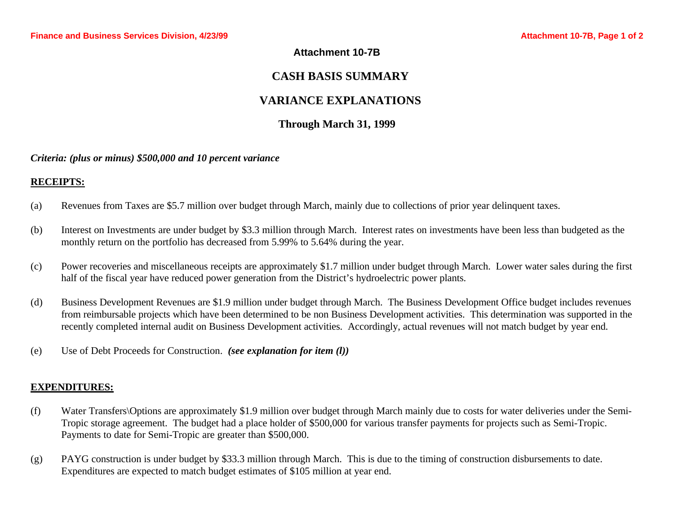### **Attachment 10-7B**

# **CASH BASIS SUMMARY**

# **VARIANCE EXPLANATIONS**

# **Through March 31, 1999**

#### *Criteria: (plus or minus) \$500,000 and 10 percent variance*

### **RECEIPTS:**

- (a) Revenues from Taxes are \$5.7 million over budget through March, mainly due to collections of prior year delinquent taxes.
- (b) Interest on Investments are under budget by \$3.3 million through March. Interest rates on investments have been less than budgeted as the monthly return on the portfolio has decreased from 5.99% to 5.64% during the year.
- (c) Power recoveries and miscellaneous receipts are approximately \$1.7 million under budget through March. Lower water sales during the first half of the fiscal year have reduced power generation from the District's hydroelectric power plants.
- (d) Business Development Revenues are \$1.9 million under budget through March. The Business Development Office budget includes revenues from reimbursable projects which have been determined to be non Business Development activities. This determination was supported in the recently completed internal audit on Business Development activities. Accordingly, actual revenues will not match budget by year end.
- (e) Use of Debt Proceeds for Construction. *(see explanation for item (l))*

### **EXPENDITURES:**

- (f) Water Transfers\Options are approximately \$1.9 million over budget through March mainly due to costs for water deliveries under the Semi-Tropic storage agreement. The budget had a place holder of \$500,000 for various transfer payments for projects such as Semi-Tropic. Payments to date for Semi-Tropic are greater than \$500,000.
- (g) PAYG construction is under budget by \$33.3 million through March. This is due to the timing of construction disbursements to date. Expenditures are expected to match budget estimates of \$105 million at year end.